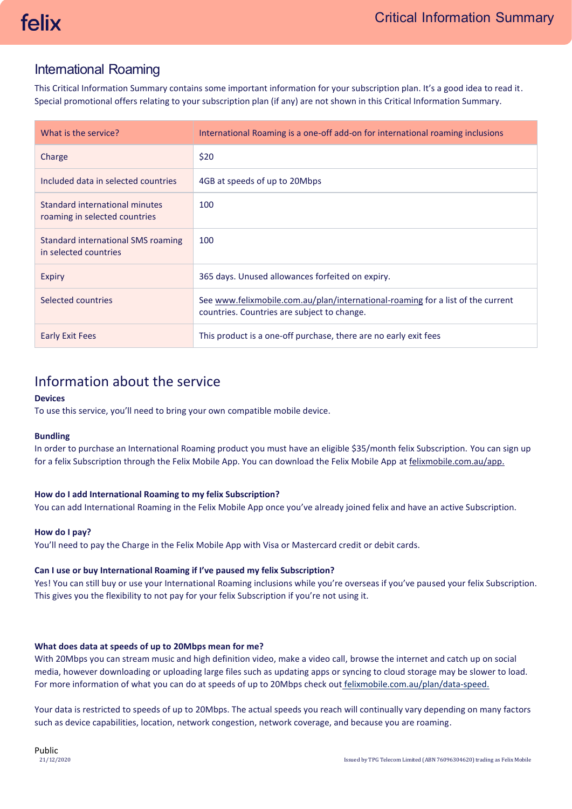# International Roaming

This Critical Information Summary contains some important information for your subscription plan. It's a good idea to read it. Special promotional offers relating to your subscription plan (if any) are not shown in this Critical Information Summary.

| What is the service?                                            | International Roaming is a one-off add-on for international roaming inclusions                                                 |
|-----------------------------------------------------------------|--------------------------------------------------------------------------------------------------------------------------------|
| Charge                                                          | \$20                                                                                                                           |
| Included data in selected countries                             | 4GB at speeds of up to 20Mbps                                                                                                  |
| Standard international minutes<br>roaming in selected countries | 100                                                                                                                            |
| Standard international SMS roaming<br>in selected countries     | 100                                                                                                                            |
| Expiry                                                          | 365 days. Unused allowances forfeited on expiry.                                                                               |
| Selected countries                                              | See www.felixmobile.com.au/plan/international-roaming for a list of the current<br>countries. Countries are subject to change. |
| <b>Early Exit Fees</b>                                          | This product is a one-off purchase, there are no early exit fees                                                               |

# Information about the service

# **Devices**

To use this service, you'll need to bring your own compatible mobile device.

# **Bundling**

In order to purchase an International Roaming product you must have an eligible \$35/month felix Subscription. You can sign up for a felix Subscription through the Felix Mobile App. You can download the Felix Mobile App at felixmobile.com.au/app.

# **How do I add International Roaming to my felix Subscription?**

You can add International Roaming in the Felix Mobile App once you've already joined felix and have an active Subscription.

# **How do I pay?**

You'll need to pay the Charge in the Felix Mobile App with Visa or Mastercard credit or debit cards.

# **Can I use or buy International Roaming if I've paused my felix Subscription?**

Yes! You can still buy or use your International Roaming inclusions while you're overseas if you've paused your felix Subscription. This gives you the flexibility to not pay for your felix Subscription if you're not using it.

### **What does data at speeds of up to 20Mbps mean for me?**

With 20Mbps you can stream music and high definition video, make a video call, browse the internet and catch up on social media, however downloading or uploading large files such as updating apps or syncing to cloud storage may be slower to load. For more information of what you can do at speeds of up to 20Mbps check out [felixmobile.com.au/plan/data-speed.](https://www.felixmobile.com.au/plan/data-speed)

Your data is restricted to speeds of up to 20Mbps. The actual speeds you reach will continually vary depending on many factors such as device capabilities, location, network congestion, network coverage, and because you are roaming.